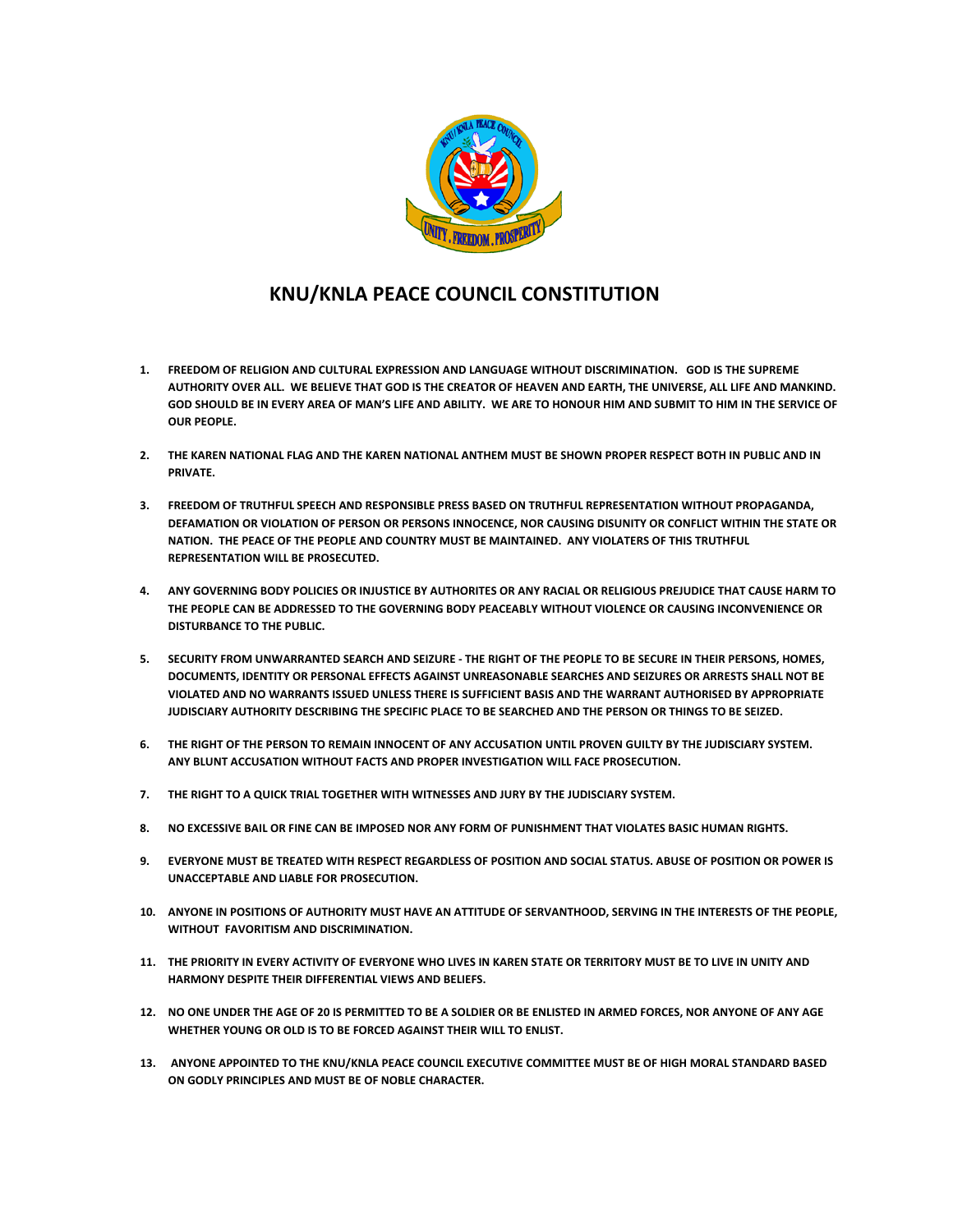

## **KNU/KNLA PEACE COUNCIL CONSTITUTION**

- **1. FREEDOM OF RELIGION AND CULTURAL EXPRESSION AND LANGUAGE WITHOUT DISCRIMINATION. GOD IS THE SUPREME AUTHORITY OVER ALL. WE BELIEVE THAT GOD IS THE CREATOR OF HEAVEN AND EARTH, THE UNIVERSE, ALL LIFE AND MANKIND. GOD SHOULD BE IN EVERY AREA OF MAN'S LIFE AND ABILITY. WE ARE TO HONOUR HIM AND SUBMIT TO HIM IN THE SERVICE OF OUR PEOPLE.**
- **2. THE KAREN NATIONAL FLAG AND THE KAREN NATIONAL ANTHEM MUST BE SHOWN PROPER RESPECT BOTH IN PUBLIC AND IN PRIVATE.**
- **3. FREEDOM OF TRUTHFUL SPEECH AND RESPONSIBLE PRESS BASED ON TRUTHFUL REPRESENTATION WITHOUT PROPAGANDA, DEFAMATION OR VIOLATION OF PERSON OR PERSONS INNOCENCE, NOR CAUSING DISUNITY OR CONFLICT WITHIN THE STATE OR NATION. THE PEACE OF THE PEOPLE AND COUNTRY MUST BE MAINTAINED. ANY VIOLATERS OF THIS TRUTHFUL REPRESENTATION WILL BE PROSECUTED.**
- **4. ANY GOVERNING BODY POLICIES OR INJUSTICE BY AUTHORITES OR ANY RACIAL OR RELIGIOUS PREJUDICE THAT CAUSE HARM TO THE PEOPLE CAN BE ADDRESSED TO THE GOVERNING BODY PEACEABLY WITHOUT VIOLENCE OR CAUSING INCONVENIENCE OR DISTURBANCE TO THE PUBLIC.**
- **5. SECURITY FROM UNWARRANTED SEARCH AND SEIZURE - THE RIGHT OF THE PEOPLE TO BE SECURE IN THEIR PERSONS, HOMES, DOCUMENTS, IDENTITY OR PERSONAL EFFECTS AGAINST UNREASONABLE SEARCHES AND SEIZURES OR ARRESTS SHALL NOT BE VIOLATED AND NO WARRANTS ISSUED UNLESS THERE IS SUFFICIENT BASIS AND THE WARRANT AUTHORISED BY APPROPRIATE JUDISCIARY AUTHORITY DESCRIBING THE SPECIFIC PLACE TO BE SEARCHED AND THE PERSON OR THINGS TO BE SEIZED.**
- **6. THE RIGHT OF THE PERSON TO REMAIN INNOCENT OF ANY ACCUSATION UNTIL PROVEN GUILTY BY THE JUDISCIARY SYSTEM. ANY BLUNT ACCUSATION WITHOUT FACTS AND PROPER INVESTIGATION WILL FACE PROSECUTION.**
- **7. THE RIGHT TO A QUICK TRIAL TOGETHER WITH WITNESSES AND JURY BY THE JUDISCIARY SYSTEM.**
- **8. NO EXCESSIVE BAIL OR FINE CAN BE IMPOSED NOR ANY FORM OF PUNISHMENT THAT VIOLATES BASIC HUMAN RIGHTS.**
- **9. EVERYONE MUST BE TREATED WITH RESPECT REGARDLESS OF POSITION AND SOCIAL STATUS. ABUSE OF POSITION OR POWER IS UNACCEPTABLE AND LIABLE FOR PROSECUTION.**
- **10. ANYONE IN POSITIONS OF AUTHORITY MUST HAVE AN ATTITUDE OF SERVANTHOOD, SERVING IN THE INTERESTS OF THE PEOPLE, WITHOUT FAVORITISM AND DISCRIMINATION.**
- **11. THE PRIORITY IN EVERY ACTIVITY OF EVERYONE WHO LIVES IN KAREN STATE OR TERRITORY MUST BE TO LIVE IN UNITY AND HARMONY DESPITE THEIR DIFFERENTIAL VIEWS AND BELIEFS.**
- **12. NO ONE UNDER THE AGE OF 20 IS PERMITTED TO BE A SOLDIER OR BE ENLISTED IN ARMED FORCES, NOR ANYONE OF ANY AGE WHETHER YOUNG OR OLD IS TO BE FORCED AGAINST THEIR WILL TO ENLIST.**
- **13. ANYONE APPOINTED TO THE KNU/KNLA PEACE COUNCIL EXECUTIVE COMMITTEE MUST BE OF HIGH MORAL STANDARD BASED ON GODLY PRINCIPLES AND MUST BE OF NOBLE CHARACTER.**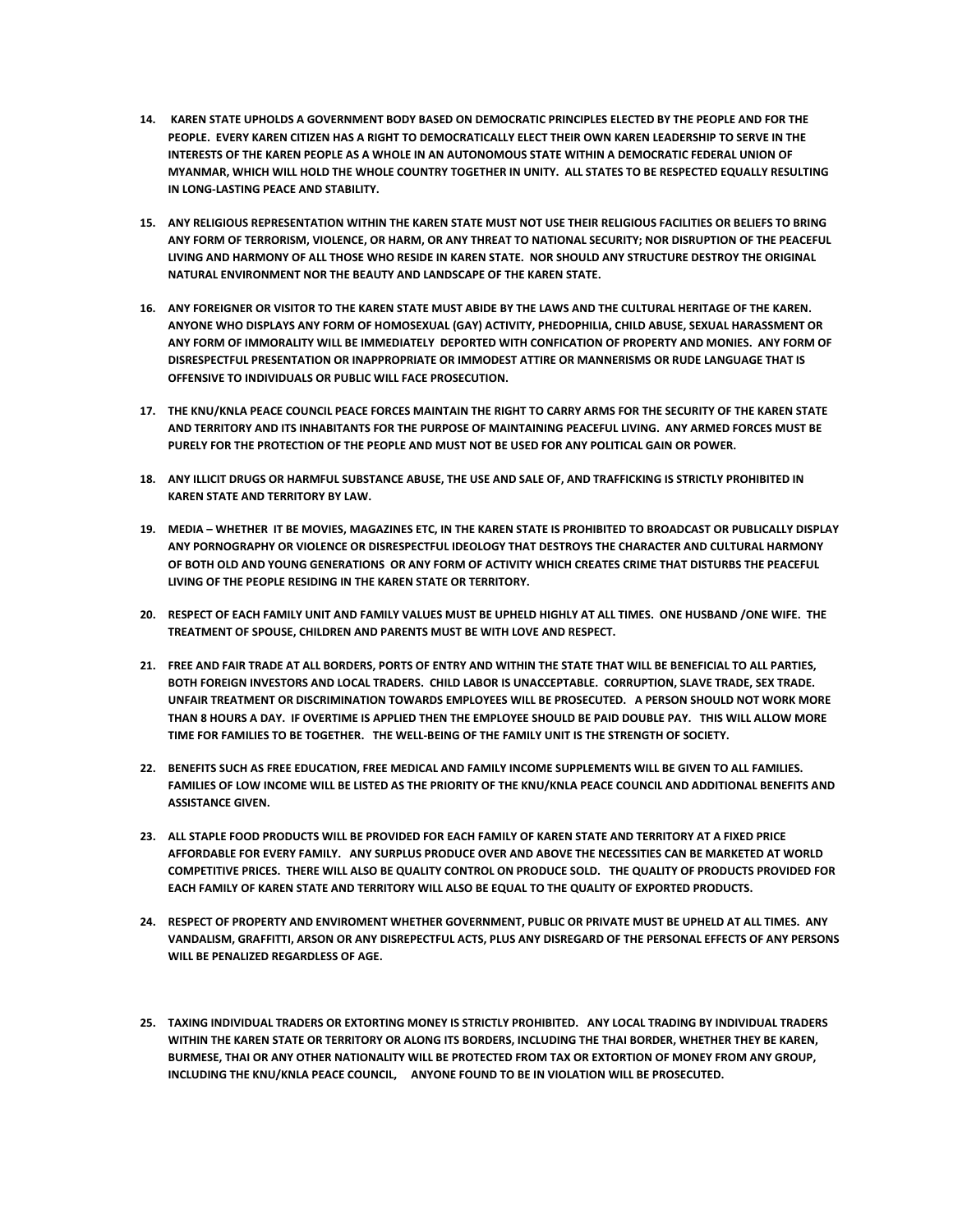- **14. KAREN STATE UPHOLDS A GOVERNMENT BODY BASED ON DEMOCRATIC PRINCIPLES ELECTED BY THE PEOPLE AND FOR THE PEOPLE. EVERY KAREN CITIZEN HAS A RIGHT TO DEMOCRATICALLY ELECT THEIR OWN KAREN LEADERSHIP TO SERVE IN THE INTERESTS OF THE KAREN PEOPLE AS A WHOLE IN AN AUTONOMOUS STATE WITHIN A DEMOCRATIC FEDERAL UNION OF MYANMAR, WHICH WILL HOLD THE WHOLE COUNTRY TOGETHER IN UNITY. ALL STATES TO BE RESPECTED EQUALLY RESULTING IN LONG-LASTING PEACE AND STABILITY.**
- **15. ANY RELIGIOUS REPRESENTATION WITHIN THE KAREN STATE MUST NOT USE THEIR RELIGIOUS FACILITIES OR BELIEFS TO BRING ANY FORM OF TERRORISM, VIOLENCE, OR HARM, OR ANY THREAT TO NATIONAL SECURITY; NOR DISRUPTION OF THE PEACEFUL LIVING AND HARMONY OF ALL THOSE WHO RESIDE IN KAREN STATE. NOR SHOULD ANY STRUCTURE DESTROY THE ORIGINAL NATURAL ENVIRONMENT NOR THE BEAUTY AND LANDSCAPE OF THE KAREN STATE.**
- **16. ANY FOREIGNER OR VISITOR TO THE KAREN STATE MUST ABIDE BY THE LAWS AND THE CULTURAL HERITAGE OF THE KAREN. ANYONE WHO DISPLAYS ANY FORM OF HOMOSEXUAL (GAY) ACTIVITY, PHEDOPHILIA, CHILD ABUSE, SEXUAL HARASSMENT OR ANY FORM OF IMMORALITY WILL BE IMMEDIATELY DEPORTED WITH CONFICATION OF PROPERTY AND MONIES. ANY FORM OF DISRESPECTFUL PRESENTATION OR INAPPROPRIATE OR IMMODEST ATTIRE OR MANNERISMS OR RUDE LANGUAGE THAT IS OFFENSIVE TO INDIVIDUALS OR PUBLIC WILL FACE PROSECUTION.**
- **17. THE KNU/KNLA PEACE COUNCIL PEACE FORCES MAINTAIN THE RIGHT TO CARRY ARMS FOR THE SECURITY OF THE KAREN STATE AND TERRITORY AND ITS INHABITANTS FOR THE PURPOSE OF MAINTAINING PEACEFUL LIVING. ANY ARMED FORCES MUST BE PURELY FOR THE PROTECTION OF THE PEOPLE AND MUST NOT BE USED FOR ANY POLITICAL GAIN OR POWER.**
- **18. ANY ILLICIT DRUGS OR HARMFUL SUBSTANCE ABUSE, THE USE AND SALE OF, AND TRAFFICKING IS STRICTLY PROHIBITED IN KAREN STATE AND TERRITORY BY LAW.**
- **19. MEDIA – WHETHER IT BE MOVIES, MAGAZINES ETC, IN THE KAREN STATE IS PROHIBITED TO BROADCAST OR PUBLICALLY DISPLAY ANY PORNOGRAPHY OR VIOLENCE OR DISRESPECTFUL IDEOLOGY THAT DESTROYS THE CHARACTER AND CULTURAL HARMONY OF BOTH OLD AND YOUNG GENERATIONS OR ANY FORM OF ACTIVITY WHICH CREATES CRIME THAT DISTURBS THE PEACEFUL LIVING OF THE PEOPLE RESIDING IN THE KAREN STATE OR TERRITORY.**
- **20. RESPECT OF EACH FAMILY UNIT AND FAMILY VALUES MUST BE UPHELD HIGHLY AT ALL TIMES. ONE HUSBAND /ONE WIFE. THE TREATMENT OF SPOUSE, CHILDREN AND PARENTS MUST BE WITH LOVE AND RESPECT.**
- **21. FREE AND FAIR TRADE AT ALL BORDERS, PORTS OF ENTRY AND WITHIN THE STATE THAT WILL BE BENEFICIAL TO ALL PARTIES, BOTH FOREIGN INVESTORS AND LOCAL TRADERS. CHILD LABOR IS UNACCEPTABLE. CORRUPTION, SLAVE TRADE, SEX TRADE. UNFAIR TREATMENT OR DISCRIMINATION TOWARDS EMPLOYEES WILL BE PROSECUTED. A PERSON SHOULD NOT WORK MORE THAN 8 HOURS A DAY. IF OVERTIME IS APPLIED THEN THE EMPLOYEE SHOULD BE PAID DOUBLE PAY. THIS WILL ALLOW MORE TIME FOR FAMILIES TO BE TOGETHER. THE WELL-BEING OF THE FAMILY UNIT IS THE STRENGTH OF SOCIETY.**
- **22. BENEFITS SUCH AS FREE EDUCATION, FREE MEDICAL AND FAMILY INCOME SUPPLEMENTS WILL BE GIVEN TO ALL FAMILIES. FAMILIES OF LOW INCOME WILL BE LISTED AS THE PRIORITY OF THE KNU/KNLA PEACE COUNCIL AND ADDITIONAL BENEFITS AND ASSISTANCE GIVEN.**
- **23. ALL STAPLE FOOD PRODUCTS WILL BE PROVIDED FOR EACH FAMILY OF KAREN STATE AND TERRITORY AT A FIXED PRICE AFFORDABLE FOR EVERY FAMILY. ANY SURPLUS PRODUCE OVER AND ABOVE THE NECESSITIES CAN BE MARKETED AT WORLD COMPETITIVE PRICES. THERE WILL ALSO BE QUALITY CONTROL ON PRODUCE SOLD. THE QUALITY OF PRODUCTS PROVIDED FOR EACH FAMILY OF KAREN STATE AND TERRITORY WILL ALSO BE EQUAL TO THE QUALITY OF EXPORTED PRODUCTS.**
- **24. RESPECT OF PROPERTY AND ENVIROMENT WHETHER GOVERNMENT, PUBLIC OR PRIVATE MUST BE UPHELD AT ALL TIMES. ANY VANDALISM, GRAFFITTI, ARSON OR ANY DISREPECTFUL ACTS, PLUS ANY DISREGARD OF THE PERSONAL EFFECTS OF ANY PERSONS WILL BE PENALIZED REGARDLESS OF AGE.**
- **25. TAXING INDIVIDUAL TRADERS OR EXTORTING MONEY IS STRICTLY PROHIBITED. ANY LOCAL TRADING BY INDIVIDUAL TRADERS WITHIN THE KAREN STATE OR TERRITORY OR ALONG ITS BORDERS, INCLUDING THE THAI BORDER, WHETHER THEY BE KAREN, BURMESE, THAI OR ANY OTHER NATIONALITY WILL BE PROTECTED FROM TAX OR EXTORTION OF MONEY FROM ANY GROUP, INCLUDING THE KNU/KNLA PEACE COUNCIL, ANYONE FOUND TO BE IN VIOLATION WILL BE PROSECUTED.**